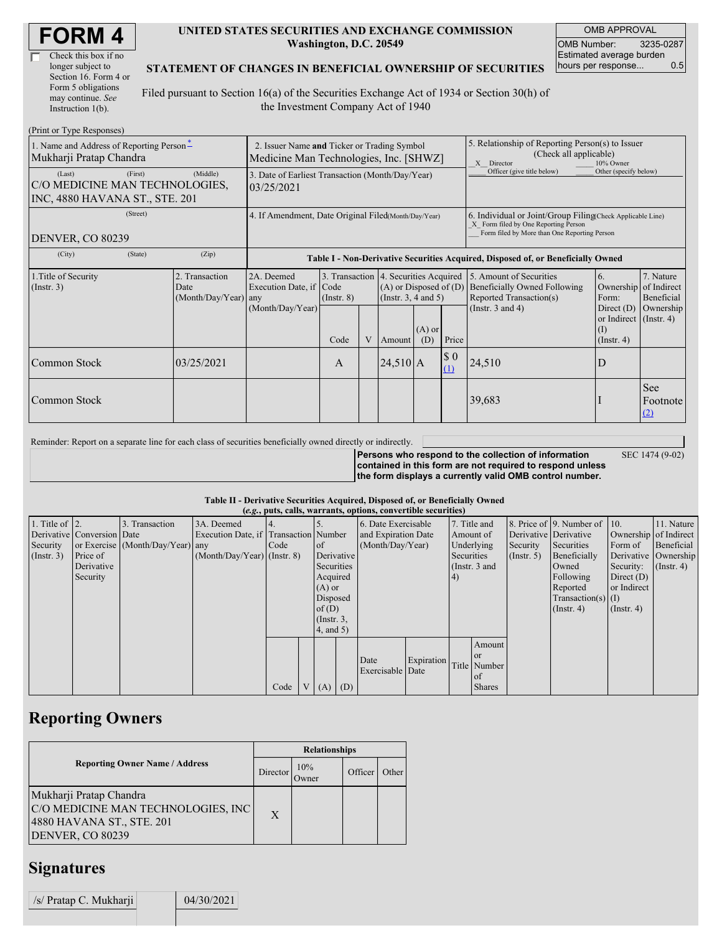| <b>FORM4</b> |
|--------------|
|--------------|

| Check this box if no  |
|-----------------------|
| longer subject to     |
| Section 16. Form 4 or |
| Form 5 obligations    |
| may continue. See     |
| Instruction 1(b).     |

### **UNITED STATES SECURITIES AND EXCHANGE COMMISSION Washington, D.C. 20549**

OMB APPROVAL OMB Number: 3235-0287 Estimated average burden hours per response... 0.5

SEC 1474 (9-02)

### **STATEMENT OF CHANGES IN BENEFICIAL OWNERSHIP OF SECURITIES**

Filed pursuant to Section 16(a) of the Securities Exchange Act of 1934 or Section 30(h) of the Investment Company Act of 1940

| (Print or Type Responses)                                                             |                                                                                       |                                                                                  |                 |   |                                                                                            |                 |                                                                                                                                                    |                                                                                    |                                                                   |                                                  |
|---------------------------------------------------------------------------------------|---------------------------------------------------------------------------------------|----------------------------------------------------------------------------------|-----------------|---|--------------------------------------------------------------------------------------------|-----------------|----------------------------------------------------------------------------------------------------------------------------------------------------|------------------------------------------------------------------------------------|-------------------------------------------------------------------|--------------------------------------------------|
| 1. Name and Address of Reporting Person-<br>Mukharji Pratap Chandra                   | 2. Issuer Name and Ticker or Trading Symbol<br>Medicine Man Technologies, Inc. [SHWZ] |                                                                                  |                 |   |                                                                                            |                 | 5. Relationship of Reporting Person(s) to Issuer<br>(Check all applicable)<br>X Director<br>10% Owner                                              |                                                                                    |                                                                   |                                                  |
| (First)<br>(Last)<br>C/O MEDICINE MAN TECHNOLOGIES.<br>INC, 4880 HAVANA ST., STE. 201 | 3. Date of Earliest Transaction (Month/Day/Year)<br>03/25/2021                        |                                                                                  |                 |   |                                                                                            |                 | Officer (give title below)                                                                                                                         | Other (specify below)                                                              |                                                                   |                                                  |
| (Street)<br>DENVER, CO 80239                                                          | 4. If Amendment, Date Original Filed(Month/Day/Year)                                  |                                                                                  |                 |   |                                                                                            |                 | 6. Individual or Joint/Group Filing(Check Applicable Line)<br>X Form filed by One Reporting Person<br>Form filed by More than One Reporting Person |                                                                                    |                                                                   |                                                  |
| (City)<br>(State)                                                                     | (Zip)                                                                                 | Table I - Non-Derivative Securities Acquired, Disposed of, or Beneficially Owned |                 |   |                                                                                            |                 |                                                                                                                                                    |                                                                                    |                                                                   |                                                  |
| 1. Title of Security<br>$($ Instr. 3 $)$                                              | 2. Transaction<br>Date<br>(Month/Day/Year) any                                        | 2A. Deemed<br>Execution Date, if Code                                            | $($ Instr. $8)$ |   | 3. Transaction 4. Securities Acquired<br>$(A)$ or Disposed of $(D)$<br>(Instr. 3, 4 and 5) |                 |                                                                                                                                                    | 5. Amount of Securities<br>Beneficially Owned Following<br>Reported Transaction(s) | 6.<br>Form:                                                       | 7. Nature<br>Ownership of Indirect<br>Beneficial |
|                                                                                       |                                                                                       | (Month/Day/Year)                                                                 | Code            | V | Amount                                                                                     | $(A)$ or<br>(D) | Price                                                                                                                                              | (Instr. $3$ and $4$ )                                                              | Direct $(D)$<br>or Indirect (Instr. 4)<br>(I)<br>$($ Instr. 4 $)$ | Ownership                                        |
| Common Stock                                                                          | 03/25/2021                                                                            |                                                                                  | A               |   | $24,510$ A                                                                                 |                 | $\$$ 0<br>(1)                                                                                                                                      | 24,510                                                                             | D                                                                 |                                                  |
| Common Stock                                                                          |                                                                                       |                                                                                  |                 |   |                                                                                            |                 |                                                                                                                                                    | 39,683                                                                             |                                                                   | <b>See</b><br>Footnote<br>(2)                    |

Reminder: Report on a separate line for each class of securities beneficially owned directly or indirectly.

**Persons who respond to the collection of information contained in this form are not required to respond unless the form displays a currently valid OMB control number.**

### **Table II - Derivative Securities Acquired, Disposed of, or Beneficially Owned**

| (e.g., puts, calls, warrants, options, convertible securities) |                            |                                  |                                       |      |                |                 |  |                          |            |                 |               |               |                              |                       |                      |         |            |
|----------------------------------------------------------------|----------------------------|----------------------------------|---------------------------------------|------|----------------|-----------------|--|--------------------------|------------|-----------------|---------------|---------------|------------------------------|-----------------------|----------------------|---------|------------|
| 1. Title of $\vert$ 2.                                         |                            | . Transaction                    | 3A. Deemed                            |      |                |                 |  | 6. Date Exercisable      |            | 7. Title and    |               |               | 8. Price of 9. Number of 10. |                       | 11. Nature           |         |            |
|                                                                | Derivative Conversion Date |                                  | Execution Date, if Transaction Number |      |                |                 |  | and Expiration Date      |            | Amount of       |               |               | Derivative Derivative        | Ownership of Indirect |                      |         |            |
| Security                                                       |                            | or Exercise (Month/Day/Year) any |                                       | Code |                | of              |  | (Month/Day/Year)         |            |                 |               | Underlying    |                              | Security              | Securities           | Form of | Beneficial |
| (Insert. 3)                                                    | Price of                   |                                  | $(Month/Day/Year)$ (Instr. 8)         |      |                | Derivative      |  |                          |            | Securities      |               | $($ Instr. 5) | Beneficially                 |                       | Derivative Ownership |         |            |
|                                                                | Derivative                 |                                  |                                       |      |                | Securities      |  |                          |            | (Instr. $3$ and |               |               | Owned                        | Security:             | $($ Instr. 4 $)$     |         |            |
|                                                                | Security                   |                                  |                                       |      |                | Acquired        |  |                          |            | (4)             |               |               | Following                    | Direct $(D)$          |                      |         |            |
|                                                                |                            |                                  |                                       |      |                | $(A)$ or        |  |                          |            |                 |               |               | Reported                     | or Indirect           |                      |         |            |
|                                                                |                            |                                  |                                       |      |                | Disposed        |  |                          |            |                 |               |               | $Transaction(s)$ (I)         |                       |                      |         |            |
|                                                                |                            |                                  |                                       |      |                | of(D)           |  |                          |            |                 |               |               | $($ Instr. 4 $)$             | $($ Instr. 4 $)$      |                      |         |            |
|                                                                |                            |                                  |                                       |      |                | $($ Instr. $3,$ |  |                          |            |                 |               |               |                              |                       |                      |         |            |
|                                                                |                            |                                  |                                       |      |                | 4, and 5)       |  |                          |            |                 |               |               |                              |                       |                      |         |            |
|                                                                |                            |                                  |                                       |      |                |                 |  |                          |            |                 | Amount        |               |                              |                       |                      |         |            |
|                                                                |                            |                                  |                                       |      |                |                 |  |                          | Expiration |                 | l or          |               |                              |                       |                      |         |            |
|                                                                |                            |                                  |                                       |      |                |                 |  | Date<br>Exercisable Date |            |                 | Title Number  |               |                              |                       |                      |         |            |
|                                                                |                            |                                  |                                       |      |                |                 |  |                          |            |                 | <sub>of</sub> |               |                              |                       |                      |         |            |
|                                                                |                            |                                  |                                       | Code | V <sub>1</sub> | $(A)$ $(D)$     |  |                          |            |                 | <b>Shares</b> |               |                              |                       |                      |         |            |

## **Reporting Owners**

|                                                                                                                       | <b>Relationships</b> |               |         |       |  |  |  |
|-----------------------------------------------------------------------------------------------------------------------|----------------------|---------------|---------|-------|--|--|--|
| <b>Reporting Owner Name / Address</b>                                                                                 | Director             | 10%<br>.)wner | Officer | Other |  |  |  |
| Mukharji Pratap Chandra<br>C/O MEDICINE MAN TECHNOLOGIES, INC<br>4880 HAVANA ST., STE. 201<br><b>DENVER, CO 80239</b> | X                    |               |         |       |  |  |  |

### **Signatures**

| /s/ Pratap C. Mukharji | 04/30/2021 |
|------------------------|------------|
|                        |            |